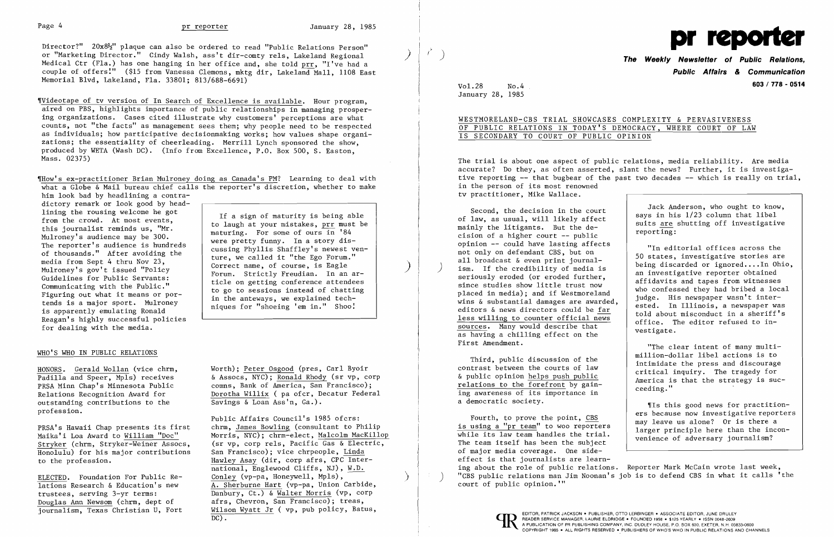Director?"  $20x8\frac{1}{2}$ " plaque can also be ordered to read "Public Relations Person" or "Marketing Director." Cindy Walsh, ass't dir-comty rels, Lakeland Regional Medical Ctr (Fla.) has one hanging in her office and, she told prr, "I've had a couple of offers:" (\$15 from Vanessa Clemons, mktg dir, Lakeland Mall, 1108 East Memorial Blvd, Lakeland, Fla. 33801; 813/688-6691)

Wideotape of tv version of In Search of Excellence is available. Hour program, aired on PBS, highlights importance of public relationships in managing prospering organizations. Cases cited illustrate why customers' perceptions are what counts, not "the facts" as management sees them; why people need to be respected as individuals; how participative decisionmaking works; how values shape organizations; the essentiality of cheerleading. Merrill Lynch sponsored the show, produced by WETA (Wash DC). (Info from Excellence, P.O. Box 500, S. Easton, Mass. 02375)

dictory remark or look good by headlining the rousing welcome he got from the crowd. At most events, this journalist reminds us, "Mr. Mulroney's audience may be 300. The reporter's audience is hundreds of thousands." After avoiding the media from Sept 4 thru Nov 23, Mulroney's gov't issued "Policy Guidelines for Public Servants: Communicating with the Public." Figuring out what it means or portends is a major sport. Mulroney is apparently emulating Ronald Reagan's highly successful policies for dealing with the media.

ELECTED. Foundation For Public Relations Research & Education's new trustees, serving 3-yr terms: Douglas Ann Newsom (chrm, dept of<br>journalism, Texas Christian U, Fort

'lHow's ex-practitioner Brian Mulroney doing as Canada's PM? Learning to deal with what a Globe & Mail bureau chief calls the reporter's discretion, whether to make him look bad by headlining a contra-

> Public Affairs Council's 1985 ofcrs: chrm, James Bowling (consultant to Philip Morris, NYC); chrm-elect, Malcolm MacKillop (sr vp, corp rels, Pacific Gas & Electric, San Francisco); vice chrpeople, Linda Hawley Asay (dir, corp afrs, CPC Inter national, Englewood Cliffs, NJ), W.D. Conley ( $vp-pa$ , Honeywell, Mpls), A. Sherburne Hart (vp-pa, Union Carbide, Danbury, Ct.) & Walter Morris (vp, corp afrs, Chevron, San Francisco); treas, Wilson Wyatt Jr ( vp, pub policy, Batus, EDITOR, PATRICK JACKSON PUBLISHER, OTTO LERBINGER • ASSOCIATE EDITOR, JUNE DRULEY

### WHO'S WHO IN PUBLIC RELATIONS

HONORS. Gerald Wollan (vice chrm, Padilla and Speer, Mpls) receives PRSA Minn Chap's Minnesota Public Relations Recognition Award for outstanding contributions to the profession.

PRSA's Hawaii Chap presents its first Maika'i Loa Award to William "Doc" Stryker (chrm, Stryker-Weiner Assocs, Honolulu) for his major contributions to the profession.

If a sign of maturity is being able to laugh at your mistakes, prr must be maturing. For some of ours in '84 were pretty funny. In a story discussing Phyllis Shaffley's newest venture, we called it "the Ego Forum." Correct name, of course, is Eagle Forum. Strictly Freudian. In an article on getting conference attendees to go to sessions instead of chatting in the anteways, we explained techniques for "shoeing 'em in." Shoo:

)

 $\mathcal{L}^{\bullet}$ 

)

Worth); Peter Osgood (pres, Carl Byoir & Assocs, NYC); Ronald Rhody (sr vp, corp comns, Bank of America, San Francisco); Dorotha Willix ( pa ofcr, Decatur Federal Savings & Loan Ass'n, Ga.).



) **The Weekly Newsletter of Public Relations, Public Affairs** *&* **Communication**  Vol. **603 / 718 - 0514** 28 No.4

January 28, 1985

# WESTMORELAND-CBS TRIAL SHOWCASES COMPLEXITY & PERVASIVENESS OF PUBLIC RELATIONS IN TODAY'S DEMOCRACY, WHERE COURT OF LAW IS SECONDARY TO COURT OF PUBLIC OPINION

The trial is about one aspect of public relations, media reliability. Are media accurate? Do they, as often asserted, slant the news? Further, it is investigative reporting  $-$ - that bugbear of the past two decades  $-$ - which is really on trial, in the person of its most renowned tv practitioner, Mike Wallace.

Second, the decision in the court of law, as usual, will likely affect mainly the litigants. But the decision of a higher court -- public opinion -- could have lasting affects not only on defendant CBS, but on all broadcast & even print journal ism. If the credibility of media is seriously eroded (or eroded further, since studies show little trust now placed in media); and if Westmoreland wins & substantial damages are awarded, editors & news directors could be far less willing to counter official news sources. Many would describe that as having a chilling effect on the First Amendment.

Third, public discussion of the contrast between the courts of law & public opinion helps push public relations to the forefront by gaining awareness of its importance in a democratic society.

Jack Anderson, who ought to know, says in his 1/23 column that libel suits are shutting off investigative reporting:

"In editorial offices across the 50 states, investigative stories are being discarded or ignored....In Ohio, an investigative reporter obtained affidavits and tapes from witnesses who confessed they had bribed a local judge. His newspaper wasn't interested. In Illinois, a newspaper was told about misconduct in a sheriff's office. The editor refused to investigate.

Fourth, to prove the point, CBS is using a "pr team" to woo reporters while its law team handles the trial. The team itself has been the subject of major media coverage. One sideeffect is that journalists are learning about the role of public relations. Reporter Mark McCain wrote last week, may leave us alone? Or is there a larger principle here than the inconvenience of adversary journalism? ) "CBS public relations man Jim Noonan's job is to defend CBS in what it calls 'the court of public opinion. '"

"The clear intent of many multimillion-dollar libel actions is to intimidate the press and discourage critical inquiry. The tragedy for America is that the strategy is succeeding."

'Is this good news for practitioners because now investigative reporters